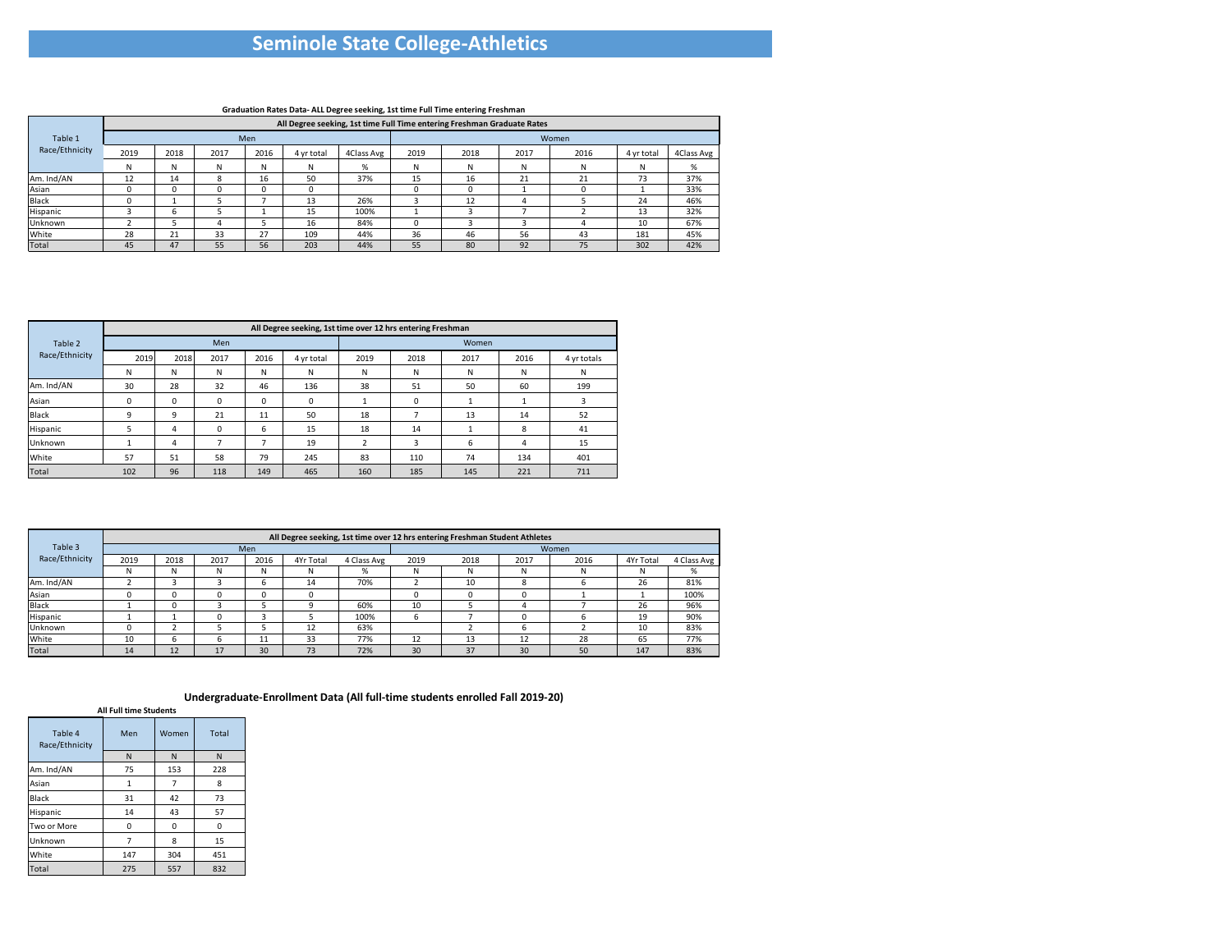|                |      |      |      |      |            |            |      | -gr = = = ==-----g, == = ==--- = - =--- = =----=- ----- g - - ==------=--- |      |       |            |            |
|----------------|------|------|------|------|------------|------------|------|----------------------------------------------------------------------------|------|-------|------------|------------|
|                |      |      |      |      |            |            |      | All Degree seeking, 1st time Full Time entering Freshman Graduate Rates    |      |       |            |            |
| Table 1        |      |      |      | Men  |            |            |      |                                                                            |      | Women |            |            |
| Race/Ethnicity | 2019 | 2018 | 2017 | 2016 | 4 yr total | 4Class Avg | 2019 | 2018                                                                       | 2017 | 2016  | 4 yr total | 4Class Avg |
|                | N    | N    | N    | N    | N          | %          | N    | N                                                                          | N    | N     | N          | %          |
| Am. Ind/AN     | 12   | 14   | 8    | 16   | 50         | 37%        | 15   | 16                                                                         | 21   | 21    | 73         | 37%        |
| Asian          | 0    |      |      | 0    |            |            |      |                                                                            |      |       |            | 33%        |
| Black          | O    |      |      |      | 13         | 26%        |      | 12                                                                         |      |       | 24         | 46%        |
| Hispanic       |      | b    |      |      | 15         | 100%       |      |                                                                            |      |       | 13         | 32%        |
| Unknown        |      |      |      |      | 16         | 84%        |      |                                                                            |      |       | 10         | 67%        |
| White          | 28   | 21   | 33   | 27   | 109        | 44%        | 36   | 46                                                                         | 56   | 43    | 181        | 45%        |
| Total          | 45   | 47   | 55   | 56   | 203        | 44%        | 55   | 80                                                                         | 92   | 75    | 302        | 42%        |

|                |      |      |          |      | All Degree seeking, 1st time over 12 hrs entering Freshman |      |      |       |      |             |
|----------------|------|------|----------|------|------------------------------------------------------------|------|------|-------|------|-------------|
| Table 2        |      |      | Men      |      |                                                            |      |      | Women |      |             |
| Race/Ethnicity | 2019 | 2018 | 2017     | 2016 | 4 yr total                                                 | 2019 | 2018 | 2017  | 2016 | 4 yr totals |
|                | N    | N    | N        | N    | N                                                          | N    | N    | N     | N    | N           |
| Am. Ind/AN     | 30   | 28   | 32       | 46   | 136                                                        | 38   | 51   | 50    | 60   | 199         |
| Asian          | 0    | 0    | 0        | 0    | 0                                                          |      | 0    |       |      |             |
| <b>Black</b>   | 9    | 9    | 21       | 11   | 50                                                         | 18   |      | 13    | 14   | 52          |
| Hispanic       |      | 4    | $\Omega$ | 6    | 15                                                         | 18   | 14   |       | 8    | 41          |
| Unknown        |      | 4    |          | 7    | 19                                                         | C    | 3    | 6     | 4    | 15          |
| White          | 57   | 51   | 58       | 79   | 245                                                        | 83   | 110  | 74    | 134  | 401         |
| Total          | 102  | 96   | 118      | 149  | 465                                                        | 160  | 185  | 145   | 221  | 711         |

|                |      |      |      |      |           |             |      | All Degree seeking, 1st time over 12 hrs entering Freshman Student Athletes |      |       |           |             |
|----------------|------|------|------|------|-----------|-------------|------|-----------------------------------------------------------------------------|------|-------|-----------|-------------|
| Table 3        |      |      |      | Men  |           |             |      |                                                                             |      | Women |           |             |
| Race/Ethnicity | 2019 | 2018 | 2017 | 2016 | 4Yr Total | 4 Class Avg | 2019 | 2018                                                                        | 2017 | 2016  | 4Yr Total | 4 Class Avg |
|                | N    | N    | N    | N    | N         | %           | N    |                                                                             | N    | N     | Ν         | ℅           |
| Am. Ind/AN     |      |      |      |      | 14        | 70%         |      | 10                                                                          |      |       | 26        | 81%         |
| Asian          |      |      |      |      |           |             |      | 0                                                                           |      |       |           | 100%        |
| <b>Black</b>   |      |      |      |      |           | 60%         | 10   |                                                                             |      |       | 26        | 96%         |
| Hispanic       |      |      |      |      |           | 100%        | h    |                                                                             |      |       | 19        | 90%         |
| Unknown        |      |      |      |      | 12        | 63%         |      |                                                                             |      |       | 10        | 83%         |
| White          | 10   | h    |      | 11   | 33        | 77%         | 12   | 13                                                                          | 12   | 28    | 65        | 77%         |
| <b>Total</b>   | 14   | 12   | 17   | 30   | 73        | 72%         | 30   | 37                                                                          | 30   | 50    | 147       | 83%         |

|                           | <b>All Full time Students</b> |       |       |
|---------------------------|-------------------------------|-------|-------|
| Table 4<br>Race/Ethnicity | Men                           | Women | Total |
|                           | N                             | N     | N     |
| Am. Ind/AN                | 75                            | 153   | 228   |
| Asian                     | 1                             | 7     | 8     |
| Black                     | 31                            | 42    | 73    |
| Hispanic                  | 14                            | 43    | 57    |
| Two or More               | O                             | ŋ     | O     |
| Unknown                   | 7                             | 8     | 15    |
| White                     | 147                           | 304   | 451   |
| Total                     | 275                           | 557   | 832   |

## **Seminole State College-Athletics**

## **Graduation Rates Data- ALL Degree seeking, 1st time Full Time entering Freshman**

**Undergraduate-Enrollment Data (All full-time students enrolled Fall 2019-20)**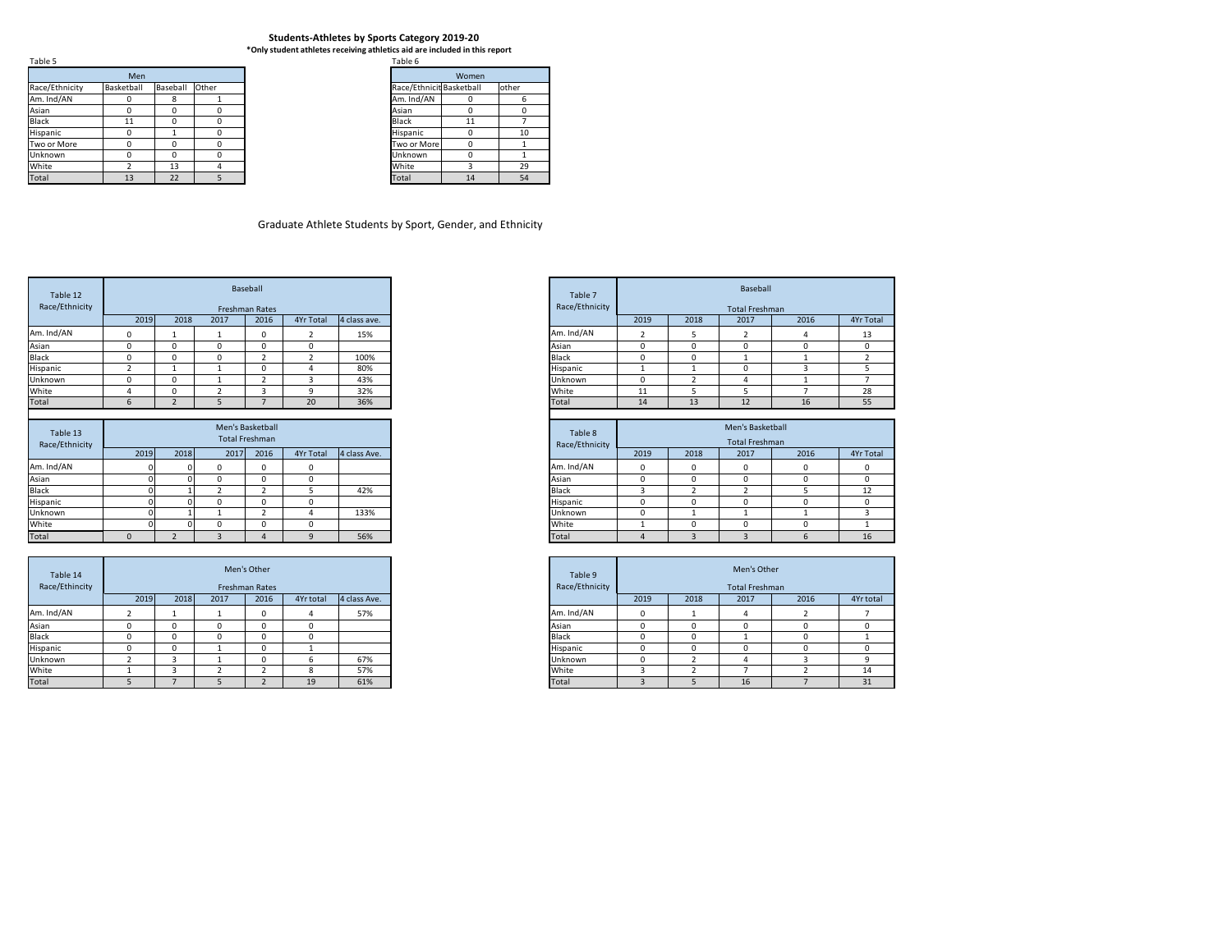## **\*Only student athletes receiving athletics aid are included in this report Students-Athletes by Sports Category 2019-20**

| Table 5        |            |          |              |
|----------------|------------|----------|--------------|
|                | Men        |          |              |
| Race/Ethnicity | Basketball | Baseball | Other        |
| Am. Ind/AN     |            | 8        |              |
| Asian          |            | 0        |              |
| <b>Black</b>   | 11         | 0        | 0            |
| Hispanic       |            |          |              |
| Two or More    |            |          |              |
| Unknown        |            | o        | <sup>0</sup> |
| White          |            | 13       | 4            |
| Total          | 13         | 22       |              |

| Table 6                  |       |       |
|--------------------------|-------|-------|
|                          | Women |       |
| Race/Ethnicit Basketball |       | other |
| Am. Ind/AN               |       | 6     |
| Asian                    |       |       |
| <b>Black</b>             | 11    |       |
| Hispanic                 |       | 10    |
| Two or More              |       | 1     |
| Unknown                  |       | 1     |
| White                    | 3     | 29    |
| Total                    | 14    | 54    |

|      |      |      | Baseball              |           |              |
|------|------|------|-----------------------|-----------|--------------|
|      |      |      | <b>Freshman Rates</b> |           |              |
| 2019 | 2018 | 2017 | 2016                  | 4Yr Total | 4 class ave. |
|      |      |      | 0                     |           | 15%          |
|      | 0    | 0    | <sup>0</sup>          |           |              |
|      | O    | 0    |                       |           | 100%         |
|      |      |      | O                     |           | 80%          |
|      | 0    |      |                       |           | 43%          |
|      | O    |      |                       |           | 32%          |
|      |      |      |                       | 20        | 36%          |

| Table 12                   |                |                |                | Baseball                                  |                |              |
|----------------------------|----------------|----------------|----------------|-------------------------------------------|----------------|--------------|
| Race/Ethnicity             |                |                |                | Freshman Rates                            |                |              |
|                            | 2019           | 2018           | 2017           | 2016                                      | 4Yr Total      | 4 class ave. |
| Am. Ind/AN                 | 0              |                |                | 0                                         | $\overline{2}$ | 15%          |
| Asian                      | 0              | 0              | $\Omega$       | 0                                         | 0              |              |
| <b>Black</b>               | 0              | 0              | $\Omega$       | $\mathbf{r}$                              | 2              | 100%         |
| Hispanic                   | $\overline{2}$ |                |                | $\Omega$                                  |                | 80%          |
| Unknown                    | 0              | 0              |                |                                           | 3              | 43%          |
| White                      | 4              | 0              | $\overline{2}$ |                                           | 9              | 32%          |
| Total                      | 6              | $\overline{2}$ | 5              |                                           | 20             | 36%          |
| Table 13<br>Race/Ethnicity |                |                |                | Men's Basketball<br><b>Total Freshman</b> |                |              |
|                            | 2019           | 2018           | 2017           | 2016                                      | 4Yr Total      | 4 class Ave. |
| Am. Ind/AN                 |                |                | 0              | 0                                         | 0              |              |
|                            |                |                | 0              | 0                                         | 0              |              |
| Asian<br>Black             |                |                | $\overline{2}$ |                                           | 5              | 42%          |
|                            |                |                | 0              | $\Omega$                                  | 0              |              |
| Hispanic<br>Unknown        |                |                |                | C.                                        | 4              | 133%         |
|                            |                |                | 0              | 0                                         | 0              |              |
| White                      |                |                |                |                                           |                |              |

|                           | Men's Basketball |              | Table 8        |      |      | Men's Basketball |      |           |
|---------------------------|------------------|--------------|----------------|------|------|------------------|------|-----------|
| Total Freshman            |                  |              | Race/Ethnicity |      |      | Total Freshman   |      |           |
| 2016<br>4Yr Total<br>2017 |                  | 4 class Ave. |                | 2019 | 2018 | 2017             | 2016 | 4Yr Total |
| 0<br>0<br>0               |                  |              | Am. Ind/AN     | 0    |      | 0                | 0    |           |
| 0<br>O                    |                  |              | Asian          |      |      | O                |      |           |
|                           |                  | 42%          | <b>Black</b>   |      |      |                  |      | 12        |
| 0<br>O                    |                  |              | Hispanic       |      |      | Ω                | O    |           |
|                           |                  | 133%         | Unknown        | v    |      |                  |      |           |
| 0<br>0                    |                  |              | White          |      |      |                  |      |           |
| 4                         |                  | 56%          | <b>Total</b>   |      |      |                  |      | 16        |

|      |      |      | Men's Other    |           |              | Table 9        |      |      | Men's Other           |      |           |
|------|------|------|----------------|-----------|--------------|----------------|------|------|-----------------------|------|-----------|
|      |      |      | Freshman Rates |           |              | Race/Ethnicity |      |      | <b>Total Freshman</b> |      |           |
| 2019 | 2018 | 2017 | 2016           | 4Yr total | 4 class Ave. |                | 2019 | 2018 | 2017                  | 2016 | 4Yr total |
|      |      |      | 0              |           | 57%          | Am. Ind/AN     |      |      | 4                     |      |           |
|      | O    |      | 0              |           |              | Asian          |      |      |                       |      |           |
|      | O    |      | 0              |           |              | <b>Black</b>   |      |      |                       |      |           |
|      | 0    |      | 0              |           |              | Hispanic       |      |      |                       |      |           |
|      |      |      | 0              |           | 67%          | Unknown        |      |      |                       |      |           |
|      |      |      |                |           | 57%          | White          |      |      |                       |      |           |
|      |      |      |                | 19        | 61%          | Total          |      |      | 16                    |      |           |

| Table 14       |      |      |      | Men's Other    |           |              |
|----------------|------|------|------|----------------|-----------|--------------|
| Race/Ethincity |      |      |      | Freshman Rates |           |              |
|                | 2019 | 2018 | 2017 | 2016           | 4Yr total | 4 class Ave. |
| Am. Ind/AN     |      |      |      |                |           | 57%          |
| Asian          |      |      |      |                |           |              |
| <b>Black</b>   |      |      |      |                |           |              |
| Hispanic       |      |      |      |                |           |              |
| Unknown        |      |      |      |                |           | 67%          |
| White          |      |      |      |                |           | 57%          |
| Total          |      |      |      |                | 19        | 61%          |

## Graduate Athlete Students by Sport, Gender, and Ethnicity